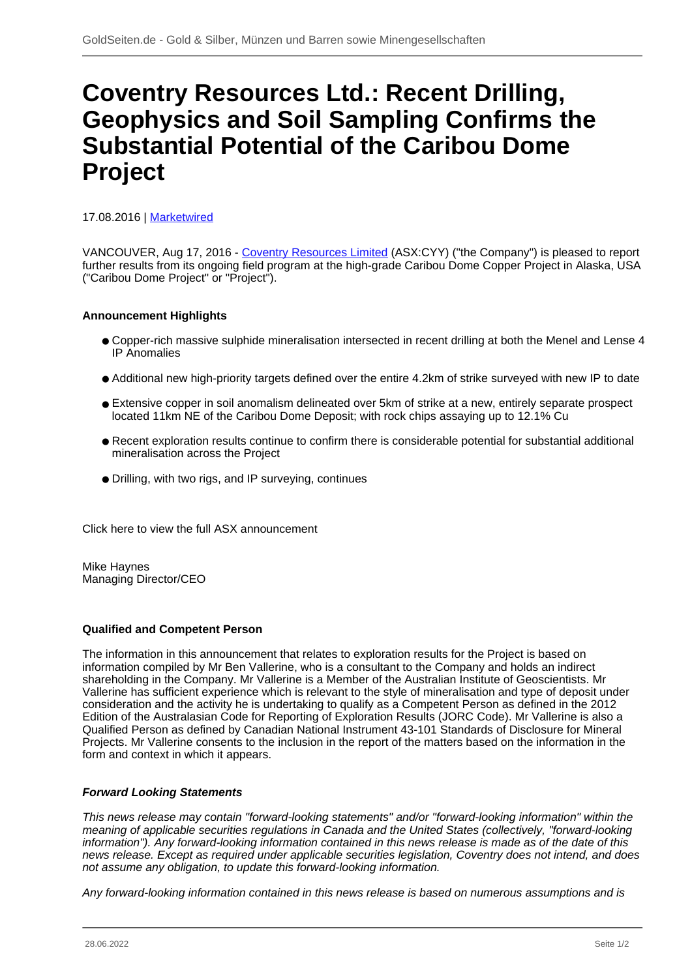# **Coventry Resources Ltd.: Recent Drilling, Geophysics and Soil Sampling Confirms the Substantial Potential of the Caribou Dome Project**

17.08.2016 | [Marketwired](/profil/226--Marketwired)

VANCOUVER, Aug 17, 2016 - [Coventry Resources Limited](/minen/2172--Coventry-Resources-Ltd) (ASX:CYY) ("the Company") is pleased to report further results from its ongoing field program at the high-grade Caribou Dome Copper Project in Alaska, USA ("Caribou Dome Project" or "Project").

## **Announcement Highlights**

- Copper-rich massive sulphide mineralisation intersected in recent drilling at both the Menel and Lense 4 IP Anomalies
- Additional new high-priority targets defined over the entire 4.2km of strike surveyed with new IP to date
- Extensive copper in soil anomalism delineated over 5km of strike at a new, entirely separate prospect located 11km NE of the Caribou Dome Deposit; with rock chips assaying up to 12.1% Cu
- Recent exploration results continue to confirm there is considerable potential for substantial additional mineralisation across the Project
- Drilling, with two rigs, and IP surveying, continues

Click here to view the full ASX announcement

Mike Haynes Managing Director/CEO

### **Qualified and Competent Person**

The information in this announcement that relates to exploration results for the Project is based on information compiled by Mr Ben Vallerine, who is a consultant to the Company and holds an indirect shareholding in the Company. Mr Vallerine is a Member of the Australian Institute of Geoscientists. Mr Vallerine has sufficient experience which is relevant to the style of mineralisation and type of deposit under consideration and the activity he is undertaking to qualify as a Competent Person as defined in the 2012 Edition of the Australasian Code for Reporting of Exploration Results (JORC Code). Mr Vallerine is also a Qualified Person as defined by Canadian National Instrument 43-101 Standards of Disclosure for Mineral Projects. Mr Vallerine consents to the inclusion in the report of the matters based on the information in the form and context in which it appears.

### **Forward Looking Statements**

This news release may contain "forward-looking statements" and/or "forward-looking information" within the meaning of applicable securities regulations in Canada and the United States (collectively, "forward-looking information"). Any forward-looking information contained in this news release is made as of the date of this news release. Except as required under applicable securities legislation, Coventry does not intend, and does not assume any obligation, to update this forward-looking information.

Any forward-looking information contained in this news release is based on numerous assumptions and is